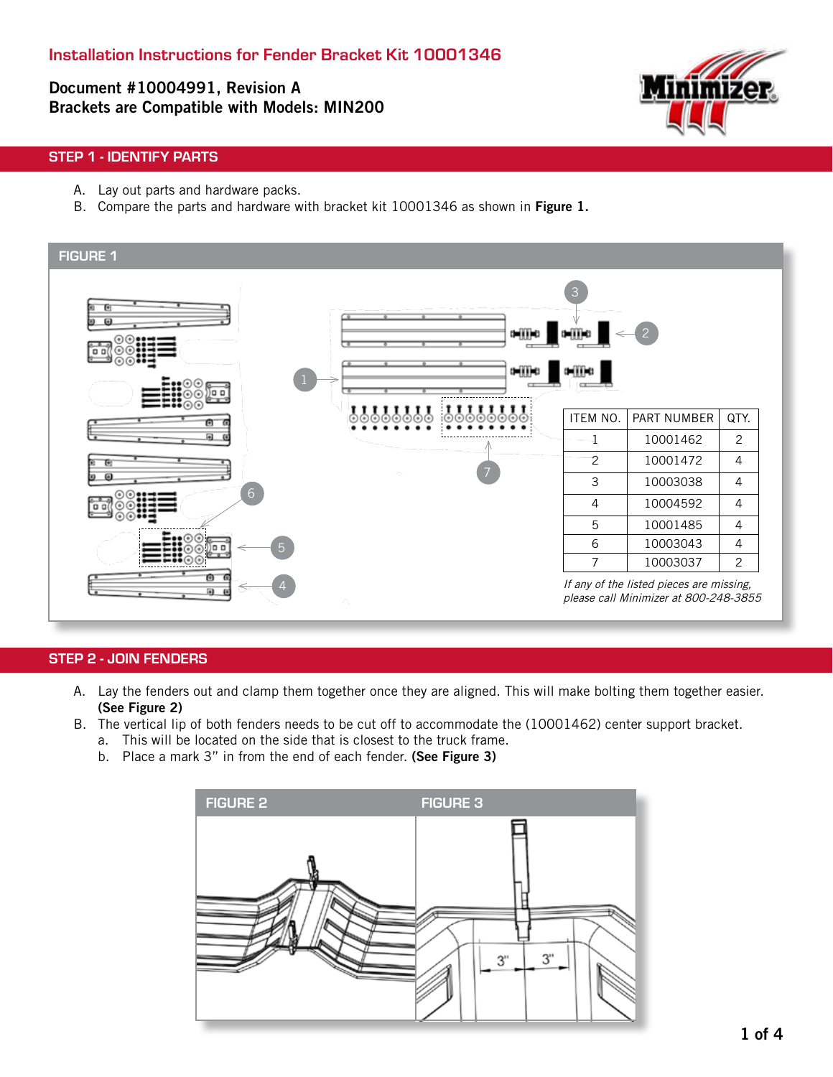Document #10004991, Revision A Brackets are Compatible with Models: MIN200



## STEP 1 - IDENTIFY PARTS

- A. Lay out parts and hardware packs.
- B. Compare the parts and hardware with bracket kit 10001346 as shown in Figure 1.



#### STEP 2 - JOIN FENDERS

- A. Lay the fenders out and clamp them together once they are aligned. This will make bolting them together easier. (See Figure 2)
- B. The vertical lip of both fenders needs to be cut off to accommodate the (10001462) center support bracket.
	- a. This will be located on the side that is closest to the truck frame.
	- b. Place a mark 3" in from the end of each fender. (See Figure 3)

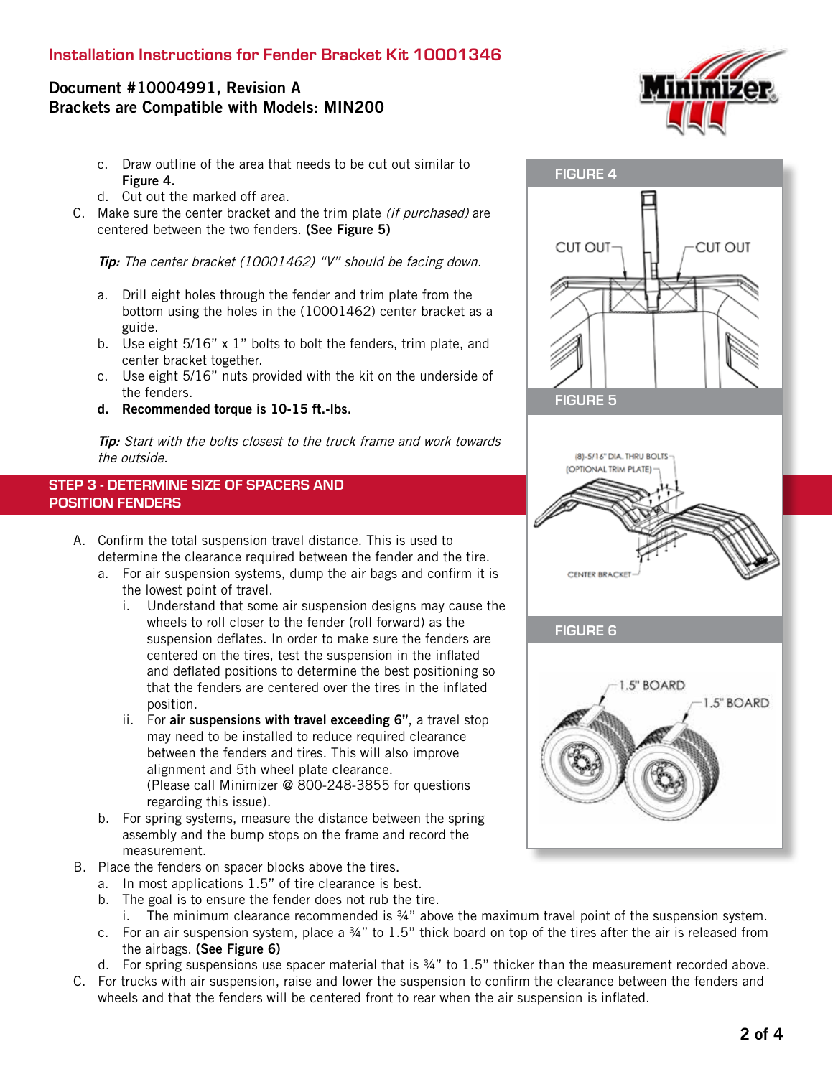# Installation Instructions for Fender Bracket Kit 10001346

# Document #10004991, Revision A Brackets are Compatible with Models: MIN200

- c. Draw outline of the area that needs to be cut out similar to Figure 4.
- d. Cut out the marked off area.
- C. Make sure the center bracket and the trim plate *(if purchased)* are centered between the two fenders. (See Figure 5)

Tip: The center bracket (10001462) "V" should be facing down.

- a. Drill eight holes through the fender and trim plate from the bottom using the holes in the (10001462) center bracket as a guide.
- b. Use eight 5/16" x 1" bolts to bolt the fenders, trim plate, and center bracket together.
- c. Use eight 5/16" nuts provided with the kit on the underside of the fenders.
- d. Recommended torque is 10-15 ft.-lbs.

Tip: Start with the bolts closest to the truck frame and work towards the outside.

#### STEP 3 - DETERMINE SIZE OF SPACERS AND POSITION FENDERS

- A. Confirm the total suspension travel distance. This is used to determine the clearance required between the fender and the tire.
	- a. For air suspension systems, dump the air bags and confirm it is the lowest point of travel.
		- i. Understand that some air suspension designs may cause the wheels to roll closer to the fender (roll forward) as the suspension deflates. In order to make sure the fenders are centered on the tires, test the suspension in the inflated and deflated positions to determine the best positioning so that the fenders are centered over the tires in the inflated position.
		- ii. For air suspensions with travel exceeding 6", a travel stop may need to be installed to reduce required clearance between the fenders and tires. This will also improve alignment and 5th wheel plate clearance. (Please call Minimizer @ 800-248-3855 for questions regarding this issue).
	- b. For spring systems, measure the distance between the spring assembly and the bump stops on the frame and record the measurement.
- B. Place the fenders on spacer blocks above the tires.
	- a. In most applications 1.5" of tire clearance is best.
	- b. The goal is to ensure the fender does not rub the tire.
	- i. The minimum clearance recommended is ¾" above the maximum travel point of the suspension system.
	- c. For an air suspension system, place a ¾" to 1.5" thick board on top of the tires after the air is released from the airbags. (See Figure 6)
	- d. For spring suspensions use spacer material that is ¾" to 1.5" thicker than the measurement recorded above.
- C. For trucks with air suspension, raise and lower the suspension to confirm the clearance between the fenders and wheels and that the fenders will be centered front to rear when the air suspension is inflated.



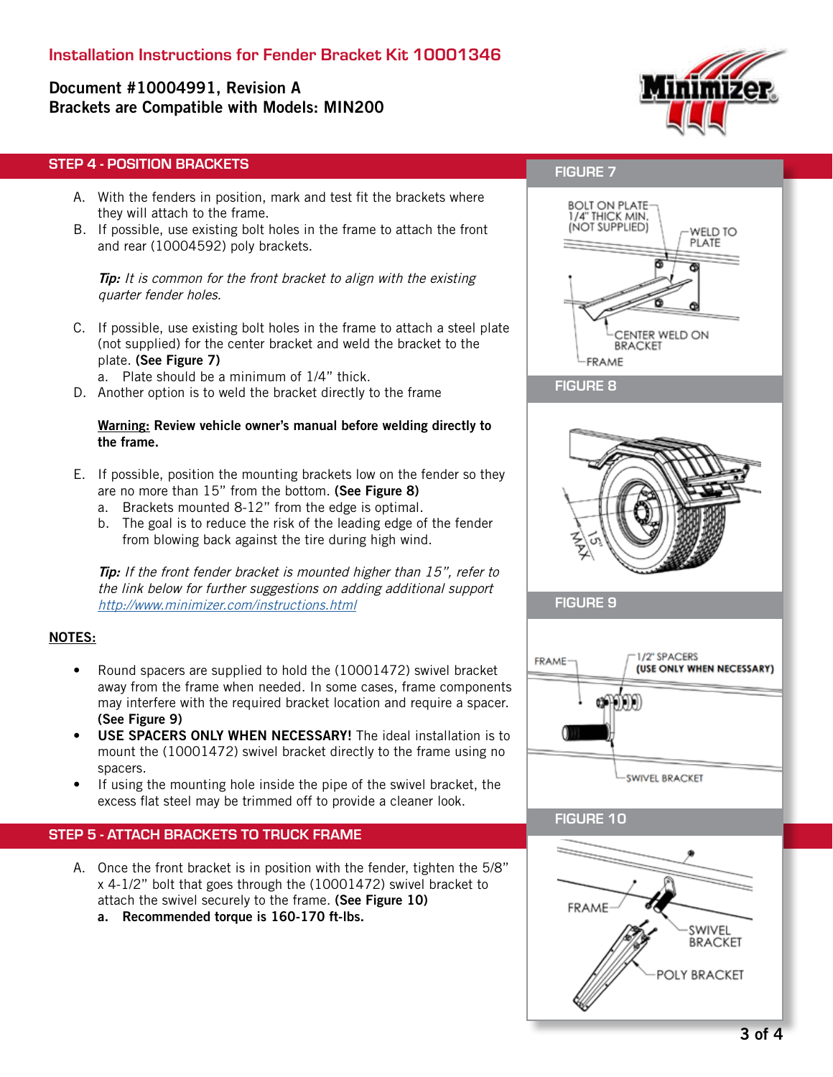# Document #10004991, Revision A Brackets are Compatible with Models: MIN200



#### STEP 4 - POSITION BRACKETS

- A. With the fenders in position, mark and test fit the brackets where they will attach to the frame.
- B. If possible, use existing bolt holes in the frame to attach the front and rear (10004592) poly brackets.

**Tip:** It is common for the front bracket to align with the existing quarter fender holes.

- C. If possible, use existing bolt holes in the frame to attach a steel plate (not supplied) for the center bracket and weld the bracket to the plate. (See Figure 7)
	- a. Plate should be a minimum of 1/4" thick.
- D. Another option is to weld the bracket directly to the frame

#### Warning: Review vehicle owner's manual before welding directly to the frame.

- E. If possible, position the mounting brackets low on the fender so they are no more than 15" from the bottom. (See Figure 8)
	- a. Brackets mounted 8-12" from the edge is optimal.
	- b. The goal is to reduce the risk of the leading edge of the fender from blowing back against the tire during high wind.

**Tip:** If the front fender bracket is mounted higher than 15", refer to the link below for further suggestions on adding additional support http://www.minimizer.com/instructions.html

#### NOTES:

- Round spacers are supplied to hold the (10001472) swivel bracket away from the frame when needed. In some cases, frame components may interfere with the required bracket location and require a spacer. (See Figure 9)
- USE SPACERS ONLY WHEN NECESSARY! The ideal installation is to mount the (10001472) swivel bracket directly to the frame using no spacers.
- If using the mounting hole inside the pipe of the swivel bracket, the excess flat steel may be trimmed off to provide a cleaner look.

#### STEP 5 - ATTACH BRACKETS TO TRUCK FRAME

A. Once the front bracket is in position with the fender, tighten the 5/8" x 4-1/2" bolt that goes through the (10001472) swivel bracket to attach the swivel securely to the frame. (See Figure 10) a. Recommended torque is 160-170 ft-lbs.

### FIGURE 7



#### FIGURE 8



FIGURE 9



#### FIGURE 10